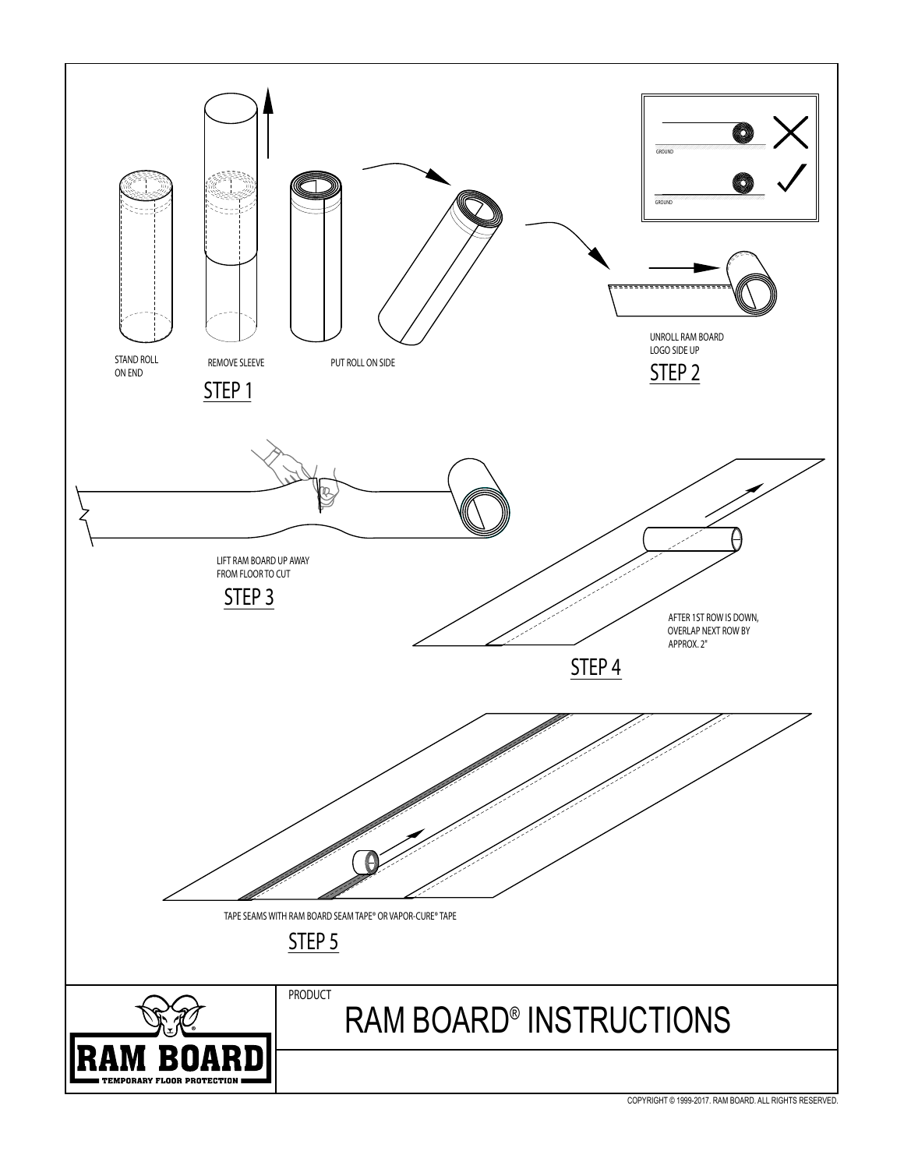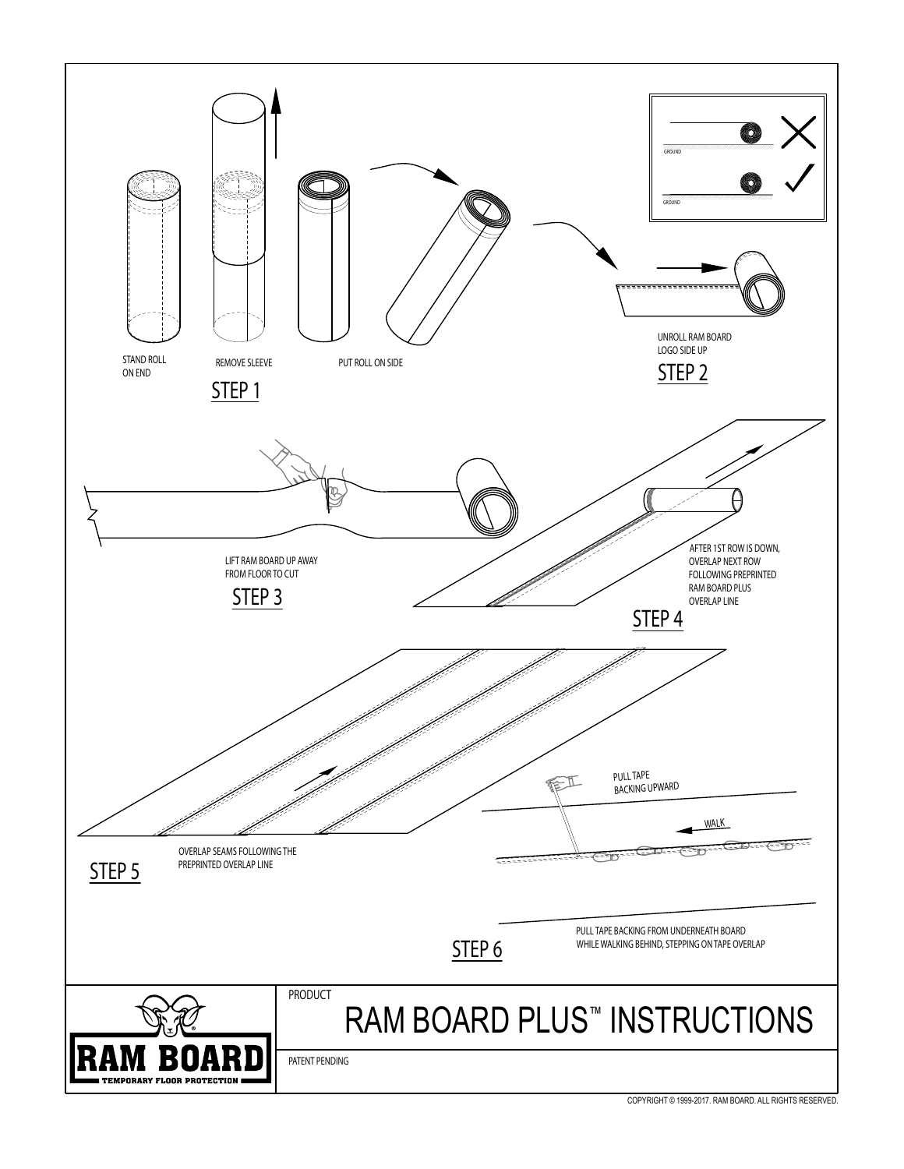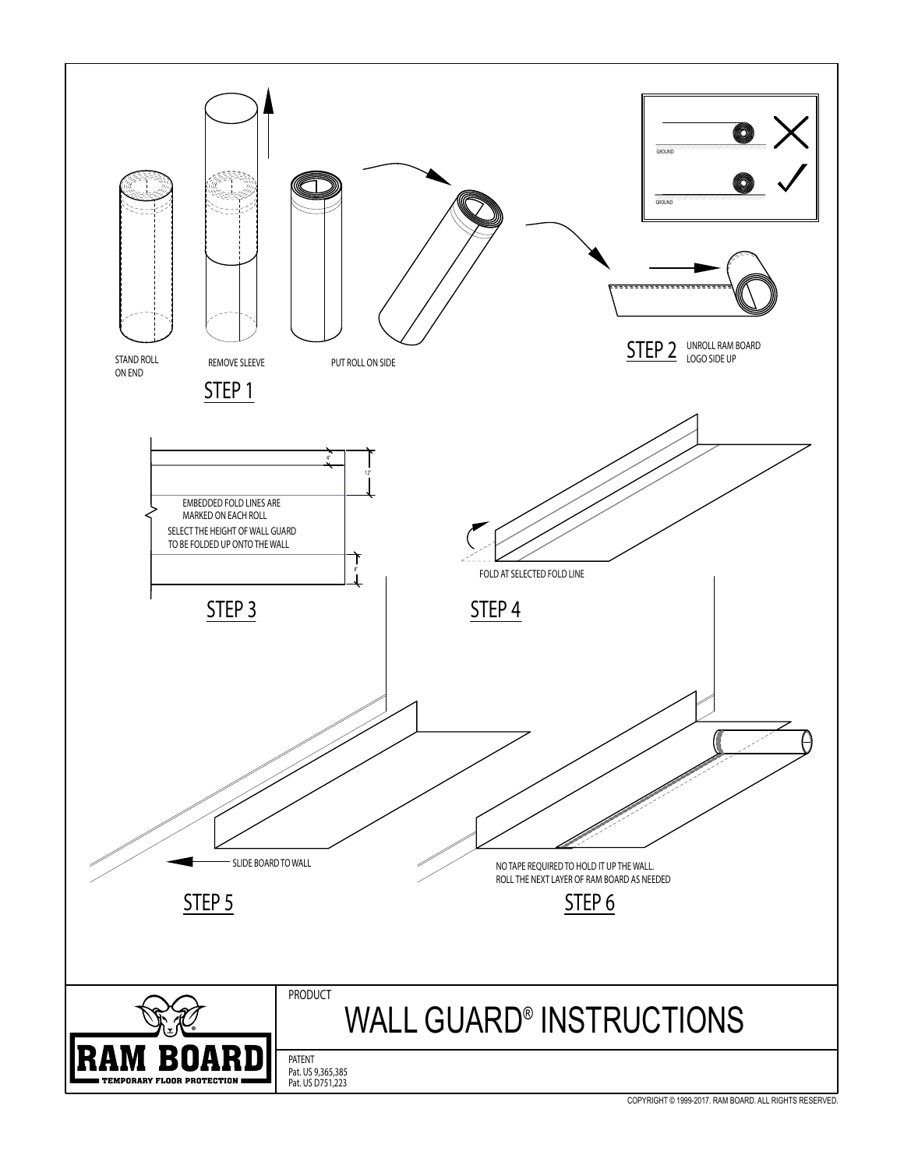